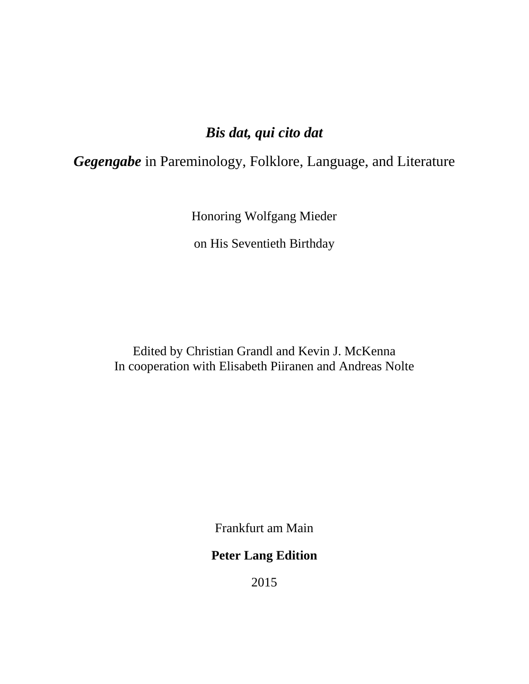# *Bis dat, qui cito dat*

*Gegengabe* in Pareminology, Folklore, Language, and Literature

Honoring Wolfgang Mieder

on His Seventieth Birthday

Edited by Christian Grandl and Kevin J. McKenna In cooperation with Elisabeth Piiranen and Andreas Nolte

Frankfurt am Main

## **Peter Lang Edition**

2015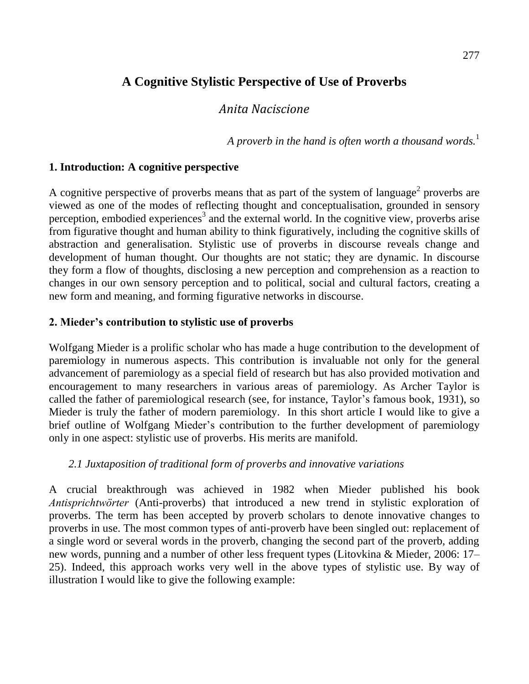# **A Cognitive Stylistic Perspective of Use of Proverbs**

## *Anita Naciscione*

*A proverb in the hand is often worth a thousand words.*<sup>1</sup>

### **1. Introduction: A cognitive perspective**

A cognitive perspective of proverbs means that as part of the system of language<sup>2</sup> proverbs are viewed as one of the modes of reflecting thought and conceptualisation, grounded in sensory perception, embodied experiences<sup>3</sup> and the external world. In the cognitive view, proverbs arise from figurative thought and human ability to think figuratively, including the cognitive skills of abstraction and generalisation. Stylistic use of proverbs in discourse reveals change and development of human thought. Our thoughts are not static; they are dynamic. In discourse they form a flow of thoughts, disclosing a new perception and comprehension as a reaction to changes in our own sensory perception and to political, social and cultural factors, creating a new form and meaning, and forming figurative networks in discourse.

#### **2. Mieder's contribution to stylistic use of proverbs**

Wolfgang Mieder is a prolific scholar who has made a huge contribution to the development of paremiology in numerous aspects. This contribution is invaluable not only for the general advancement of paremiology as a special field of research but has also provided motivation and encouragement to many researchers in various areas of paremiology. As Archer Taylor is called the father of paremiological research (see, for instance, Taylor's famous book, 1931), so Mieder is truly the father of modern paremiology. In this short article I would like to give a brief outline of Wolfgang Mieder"s contribution to the further development of paremiology only in one aspect: stylistic use of proverbs. His merits are manifold.

### *2.1 Juxtaposition of traditional form of proverbs and innovative variations*

A crucial breakthrough was achieved in 1982 when Mieder published his book *Antisprichtwörter* (Anti-proverbs) that introduced a new trend in stylistic exploration of proverbs. The term has been accepted by proverb scholars to denote innovative changes to proverbs in use. The most common types of anti-proverb have been singled out: replacement of a single word or several words in the proverb, changing the second part of the proverb, adding new words, punning and a number of other less frequent types (Litovkina & Mieder, 2006: 17– 25). Indeed, this approach works very well in the above types of stylistic use. By way of illustration I would like to give the following example: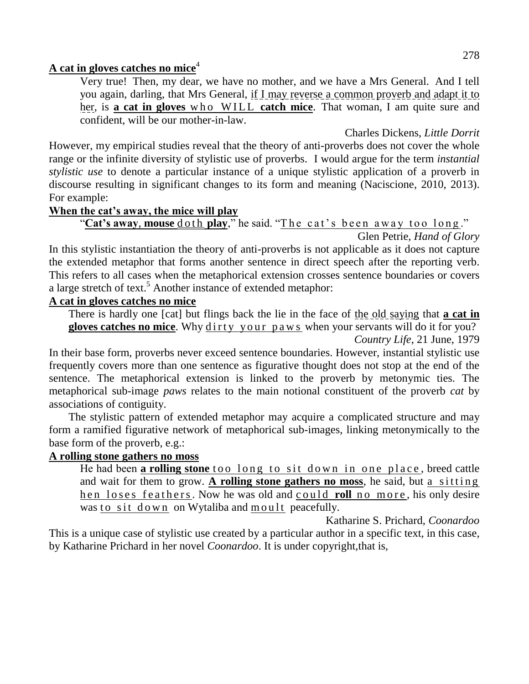## **A cat in gloves catches no mice**<sup>4</sup>

Very true! Then, my dear, we have no mother, and we have a Mrs General. And I tell you again, darling, that Mrs General, if I may reverse a common proverb and adapt it to her, is **a cat in gloves** who WILL **catch mice**. That woman, I am quite sure and confident, will be our mother-in-law.

Charles Dickens, *Little Dorrit* However, my empirical studies reveal that the theory of anti-proverbs does not cover the whole range or the infinite diversity of stylistic use of proverbs. I would argue for the term *instantial stylistic use* to denote a particular instance of a unique stylistic application of a proverb in discourse resulting in significant changes to its form and meaning (Naciscione, 2010, 2013). For example:

#### **When the cat's away, the mice will play**

"Cat's away, mouse do th play," he said. "The cat's been away too long."

Glen Petrie, *Hand of Glory*

In this stylistic instantiation the theory of anti-proverbs is not applicable as it does not capture the extended metaphor that forms another sentence in direct speech after the reporting verb. This refers to all cases when the metaphorical extension crosses sentence boundaries or covers a large stretch of text.<sup>5</sup> Another instance of extended metaphor:

### **A cat in gloves catches no mice**

There is hardly one [cat] but flings back the lie in the face of the old saying that **a cat in**  gloves catches no mice. Why dirty your paws when your servants will do it for you? *Country Life*, 21 June, 1979

In their base form, proverbs never exceed sentence boundaries. However, instantial stylistic use frequently covers more than one sentence as figurative thought does not stop at the end of the sentence. The metaphorical extension is linked to the proverb by metonymic ties. The metaphorical sub-image *paws* relates to the main notional constituent of the proverb *cat* by associations of contiguity.

The stylistic pattern of extended metaphor may acquire a complicated structure and may form a ramified figurative network of metaphorical sub-images, linking metonymically to the base form of the proverb, e.g.:

### **A rolling stone gathers no moss**

He had been **a rolling stone** too long to sit down in one place, breed cattle and wait for them to grow. A rolling stone gathers no moss, he said, but a sitting hen loses feathers. Now he was old and could roll no more, his only desire was to sit down on Wytaliba and moult peacefully.

Katharine S. Prichard, *Coonardoo* This is a unique case of stylistic use created by a particular author in a specific text, in this case, by Katharine Prichard in her novel *Coonardoo*. It is under copyright,that is,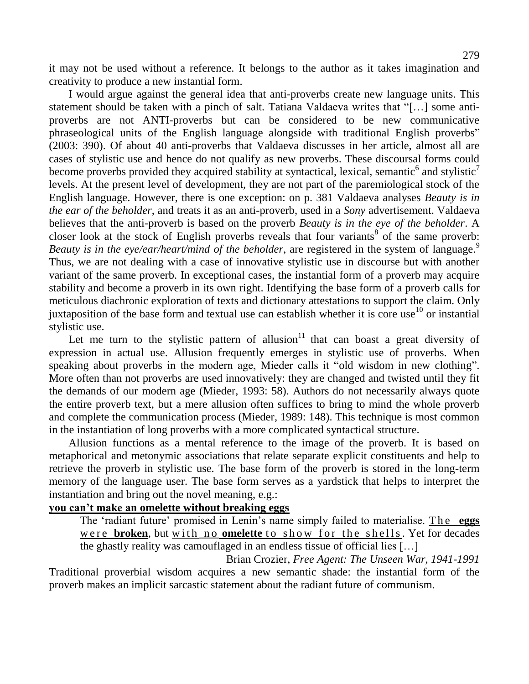it may not be used without a reference. It belongs to the author as it takes imagination and creativity to produce a new instantial form.

I would argue against the general idea that anti-proverbs create new language units. This statement should be taken with a pinch of salt. Tatiana Valdaeva writes that "[…] some antiproverbs are not ANTI-proverbs but can be considered to be new communicative phraseological units of the English language alongside with traditional English proverbs" (2003: 390). Of about 40 anti-proverbs that Valdaeva discusses in her article, almost all are cases of stylistic use and hence do not qualify as new proverbs. These discoursal forms could become proverbs provided they acquired stability at syntactical, lexical, semantic<sup>6</sup> and stylistic<sup>7</sup> levels. At the present level of development, they are not part of the paremiological stock of the English language. However, there is one exception: on p. 381 Valdaeva analyses *Beauty is in the ear of the beholder*, and treats it as an anti-proverb, used in a *Sony* advertisement. Valdaeva believes that the anti-proverb is based on the proverb *Beauty is in the eye of the beholder*. A closer look at the stock of English proverbs reveals that four variants<sup>8</sup> of the same proverb: *Beauty is in the eye/ear/heart/mind of the beholder*, are registered in the system of language. 9 Thus, we are not dealing with a case of innovative stylistic use in discourse but with another variant of the same proverb. In exceptional cases, the instantial form of a proverb may acquire stability and become a proverb in its own right. Identifying the base form of a proverb calls for meticulous diachronic exploration of texts and dictionary attestations to support the claim. Only juxtaposition of the base form and textual use can establish whether it is core use<sup>10</sup> or instantial stylistic use.

Let me turn to the stylistic pattern of allusion<sup>11</sup> that can boast a great diversity of expression in actual use. Allusion frequently emerges in stylistic use of proverbs. When speaking about proverbs in the modern age, Mieder calls it "old wisdom in new clothing". More often than not proverbs are used innovatively: they are changed and twisted until they fit the demands of our modern age (Mieder, 1993: 58). Authors do not necessarily always quote the entire proverb text, but a mere allusion often suffices to bring to mind the whole proverb and complete the communication process (Mieder, 1989: 148). This technique is most common in the instantiation of long proverbs with a more complicated syntactical structure.

Allusion functions as a mental reference to the image of the proverb. It is based on metaphorical and metonymic associations that relate separate explicit constituents and help to retrieve the proverb in stylistic use. The base form of the proverb is stored in the long-term memory of the language user. The base form serves as a yardstick that helps to interpret the instantiation and bring out the novel meaning, e.g.:

#### **you can't make an omelette without breaking eggs**

The "radiant future" promised in Lenin"s name simply failed to materialise. The **eggs** were **broken**, but with no **omelette** to show for the shells. Yet for decades the ghastly reality was camouflaged in an endless tissue of official lies […]

[Brian Crozier,](https://www.google.com/search?client=firefox-a&hs=v7Q&rls=org.mozilla:en-US:official&biw=1024&bih=549&tbm=bks&tbm=bks&q=inauthor:%22Brian+Crozier%22&sa=X&ei=qLnWUerWF-aI4AShuIGoCA&ved=0CC4Q9AgwAA) *Free Agent: The Unseen War, 1941-1991*  Traditional proverbial wisdom acquires a new semantic shade: the instantial form of the proverb makes an implicit sarcastic statement about the radiant future of communism.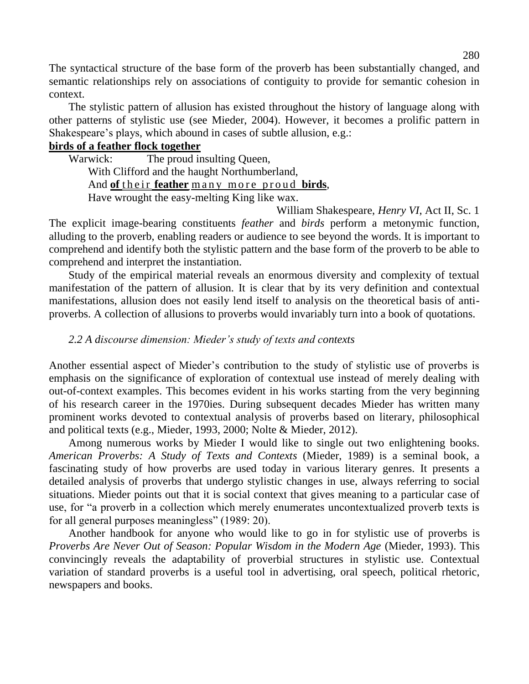The syntactical structure of the base form of the proverb has been substantially changed, and semantic relationships rely on associations of contiguity to provide for semantic cohesion in context.

The stylistic pattern of allusion has existed throughout the history of language along with other patterns of stylistic use (see Mieder, 2004). However, it becomes a prolific pattern in Shakespeare's plays, which abound in cases of subtle allusion, e.g.:

#### **birds of a feather flock together**

Warwick: The proud insulting Queen, With Clifford and the haught Northumberland, And of their **feather** many more proud birds, Have wrought the easy-melting King like wax.

William Shakespeare, *Henry VI*, Act II, Sc. 1 The explicit image-bearing constituents *feather* and *birds* perform a metonymic function, alluding to the proverb, enabling readers or audience to see beyond the words. It is important to comprehend and identify both the stylistic pattern and the base form of the proverb to be able to comprehend and interpret the instantiation.

Study of the empirical material reveals an enormous diversity and complexity of textual manifestation of the pattern of allusion. It is clear that by its very definition and contextual manifestations, allusion does not easily lend itself to analysis on the theoretical basis of antiproverbs. A collection of allusions to proverbs would invariably turn into a book of quotations.

### *2.2 A discourse dimension: Mieder's study of texts and contexts*

Another essential aspect of Mieder"s contribution to the study of stylistic use of proverbs is emphasis on the significance of exploration of contextual use instead of merely dealing with out-of-context examples. This becomes evident in his works starting from the very beginning of his research career in the 1970ies. During subsequent decades Mieder has written many prominent works devoted to contextual analysis of proverbs based on literary, philosophical and political texts (e.g., Mieder, 1993, 2000; Nolte & Mieder, 2012).

Among numerous works by Mieder I would like to single out two enlightening books. *American Proverbs: A Study of Texts and Contexts* (Mieder, 1989) is a seminal book, a fascinating study of how proverbs are used today in various literary genres. It presents a detailed analysis of proverbs that undergo stylistic changes in use, always referring to social situations. Mieder points out that it is social context that gives meaning to a particular case of use, for "a proverb in a collection which merely enumerates uncontextualized proverb texts is for all general purposes meaningless" (1989: 20).

Another handbook for anyone who would like to go in for stylistic use of proverbs is *Proverbs Are Never Out of Season: Popular Wisdom in the Modern Age* (Mieder, 1993). This convincingly reveals the adaptability of proverbial structures in stylistic use. Contextual variation of standard proverbs is a useful tool in advertising, oral speech, political rhetoric, newspapers and books.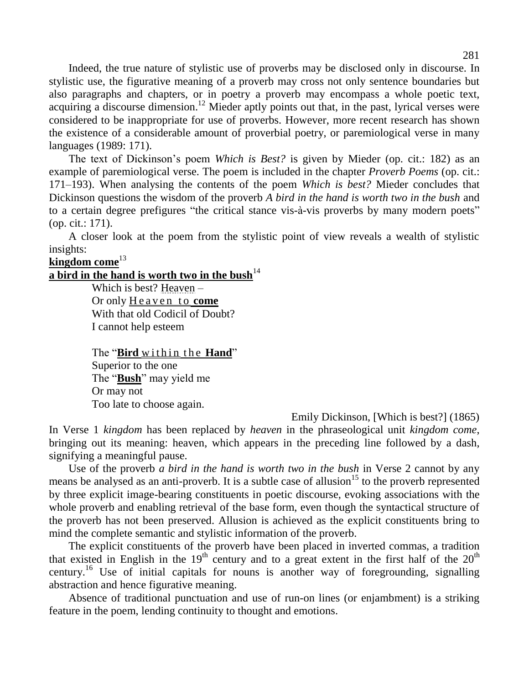Indeed, the true nature of stylistic use of proverbs may be disclosed only in discourse. In stylistic use, the figurative meaning of a proverb may cross not only sentence boundaries but also paragraphs and chapters, or in poetry a proverb may encompass a whole poetic text, acquiring a discourse dimension.<sup>12</sup> Mieder aptly points out that, in the past, lyrical verses were considered to be inappropriate for use of proverbs. However, more recent research has shown the existence of a considerable amount of proverbial poetry, or paremiological verse in many languages (1989: 171).

The text of Dickinson"s poem *Which is Best?* is given by Mieder (op. cit.: 182) as an example of paremiological verse. The poem is included in the chapter *Proverb Poems* (op. cit.: 171–193). When analysing the contents of the poem *Which is best?* Mieder concludes that Dickinson questions the wisdom of the proverb *A bird in the hand is worth two in the bush* and to a certain degree prefigures "the critical stance vis-à-vis proverbs by many modern poets" (op. cit.: 171).

A closer look at the poem from the stylistic point of view reveals a wealth of stylistic insights:

## **kingdom come**<sup>13</sup>

#### **a bird in the hand is worth two in the bush**<sup>14</sup>

Which is best? Heaven – Or only Heaven to **come** With that old Codicil of Doubt? I cannot help esteem

The "**Bird** within the **Hand**" Superior to the one The "**Bush**" may yield me Or may not Too late to choose again.

Emily Dickinson, [Which is best?] (1865)

In Verse 1 *kingdom* has been replaced by *heaven* in the phraseological unit *kingdom come*, bringing out its meaning: heaven, which appears in the preceding line followed by a dash, signifying a meaningful pause.

Use of the proverb *a bird in the hand is worth two in the bush* in Verse 2 cannot by any means be analysed as an anti-proverb. It is a subtle case of allusion<sup>15</sup> to the proverb represented by three explicit image-bearing constituents in poetic discourse, evoking associations with the whole proverb and enabling retrieval of the base form, even though the syntactical structure of the proverb has not been preserved. Allusion is achieved as the explicit constituents bring to mind the complete semantic and stylistic information of the proverb.

The explicit constituents of the proverb have been placed in inverted commas, a tradition that existed in English in the  $19<sup>th</sup>$  century and to a great extent in the first half of the  $20<sup>th</sup>$ century.<sup>16</sup> Use of initial capitals for nouns is another way of foregrounding, signalling abstraction and hence figurative meaning.

Absence of traditional punctuation and use of run-on lines (or enjambment) is a striking feature in the poem, lending continuity to thought and emotions.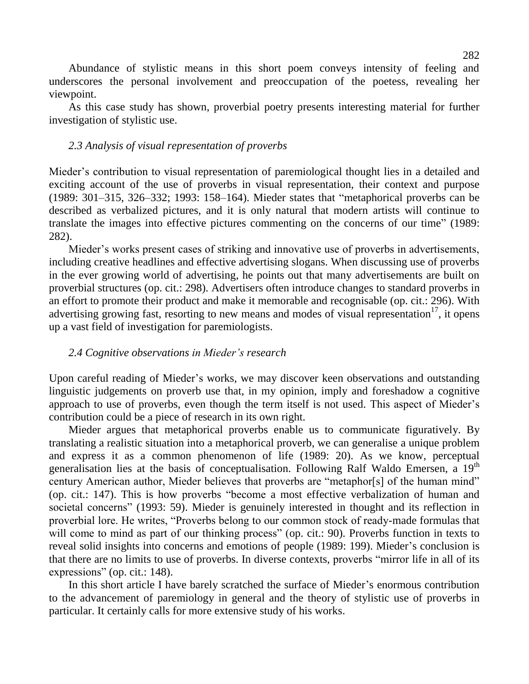Abundance of stylistic means in this short poem conveys intensity of feeling and underscores the personal involvement and preoccupation of the poetess, revealing her viewpoint.

As this case study has shown, proverbial poetry presents interesting material for further investigation of stylistic use.

#### *2.3 Analysis of visual representation of proverbs*

Mieder's contribution to visual representation of paremiological thought lies in a detailed and exciting account of the use of proverbs in visual representation, their context and purpose (1989: 301–315, 326–332; 1993: 158–164). Mieder states that "metaphorical proverbs can be described as verbalized pictures, and it is only natural that modern artists will continue to translate the images into effective pictures commenting on the concerns of our time" (1989: 282).

Mieder's works present cases of striking and innovative use of proverbs in advertisements, including creative headlines and effective advertising slogans. When discussing use of proverbs in the ever growing world of advertising, he points out that many advertisements are built on proverbial structures (op. cit.: 298). Advertisers often introduce changes to standard proverbs in an effort to promote their product and make it memorable and recognisable (op. cit.: 296). With advertising growing fast, resorting to new means and modes of visual representation<sup>17</sup>, it opens up a vast field of investigation for paremiologists.

#### *2.4 Cognitive observations in Mieder's research*

Upon careful reading of Mieder"s works, we may discover keen observations and outstanding linguistic judgements on proverb use that, in my opinion, imply and foreshadow a cognitive approach to use of proverbs, even though the term itself is not used. This aspect of Mieder's contribution could be a piece of research in its own right.

Mieder argues that metaphorical proverbs enable us to communicate figuratively. By translating a realistic situation into a metaphorical proverb, we can generalise a unique problem and express it as a common phenomenon of life (1989: 20). As we know, perceptual generalisation lies at the basis of conceptualisation. Following Ralf Waldo Emersen, a 19<sup>th</sup> century American author, Mieder believes that proverbs are "metaphor[s] of the human mind" (op. cit.: 147). This is how proverbs "become a most effective verbalization of human and societal concerns" (1993: 59). Mieder is genuinely interested in thought and its reflection in proverbial lore. He writes, "Proverbs belong to our common stock of ready-made formulas that will come to mind as part of our thinking process" (op. cit.: 90). Proverbs function in texts to reveal solid insights into concerns and emotions of people (1989: 199). Mieder"s conclusion is that there are no limits to use of proverbs. In diverse contexts, proverbs "mirror life in all of its expressions" (op. cit.: 148).

In this short article I have barely scratched the surface of Mieder"s enormous contribution to the advancement of paremiology in general and the theory of stylistic use of proverbs in particular. It certainly calls for more extensive study of his works.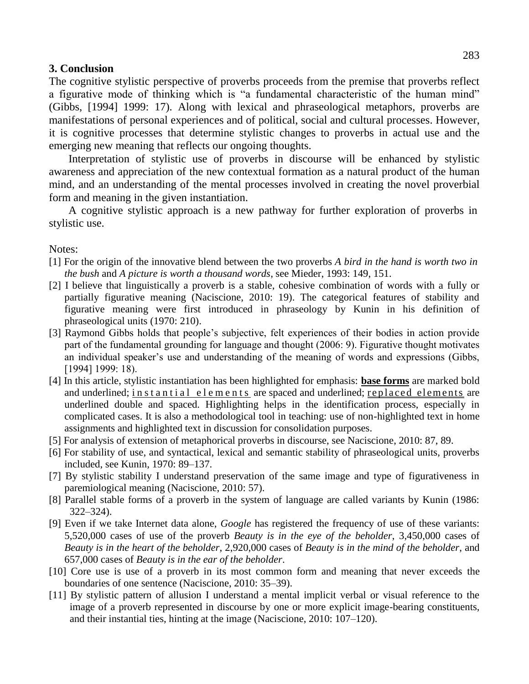#### **3. Conclusion**

The cognitive stylistic perspective of proverbs proceeds from the premise that proverbs reflect a figurative mode of thinking which is "a fundamental characteristic of the human mind" (Gibbs, [1994] 1999: 17). Along with lexical and phraseological metaphors, proverbs are manifestations of personal experiences and of political, social and cultural processes. However, it is cognitive processes that determine stylistic changes to proverbs in actual use and the emerging new meaning that reflects our ongoing thoughts.

Interpretation of stylistic use of proverbs in discourse will be enhanced by stylistic awareness and appreciation of the new contextual formation as a natural product of the human mind, and an understanding of the mental processes involved in creating the novel proverbial form and meaning in the given instantiation.

A cognitive stylistic approach is a new pathway for further exploration of proverbs in stylistic use.

Notes:

- [1] For the origin of the innovative blend between the two proverbs *A bird in the hand is worth two in the bush* and *A picture is worth a thousand words*, see Mieder, 1993: 149, 151.
- [2] I believe that linguistically a proverb is a stable, cohesive combination of words with a fully or partially figurative meaning (Naciscione, 2010: 19). The categorical features of stability and figurative meaning were first introduced in phraseology by Kunin in his definition of phraseological units (1970: 210).
- [3] Raymond Gibbs holds that people's subjective, felt experiences of their bodies in action provide part of the fundamental grounding for language and thought (2006: 9). Figurative thought motivates an individual speaker's use and understanding of the meaning of words and expressions (Gibbs, [1994] 1999: 18).
- [4] In this article, stylistic instantiation has been highlighted for emphasis: **base forms** are marked bold and underlined; in stantial elements are spaced and underlined; replaced elements are underlined double and spaced. Highlighting helps in the identification process, especially in complicated cases. It is also a methodological tool in teaching: use of non-highlighted text in home assignments and highlighted text in discussion for consolidation purposes.
- [5] For analysis of extension of metaphorical proverbs in discourse, see Naciscione, 2010: 87, 89.
- [6] For stability of use, and syntactical, lexical and semantic stability of phraseological units, proverbs included, see Kunin, 1970: 89–137.
- [7] By stylistic stability I understand preservation of the same image and type of figurativeness in paremiological meaning (Naciscione, 2010: 57).
- [8] Parallel stable forms of a proverb in the system of language are called variants by Kunin (1986: 322–324).
- [9] Even if we take Internet data alone, *Google* has registered the frequency of use of these variants: 5,520,000 cases of use of the proverb *Beauty is in the eye of the beholder*, 3,450,000 cases of *Beauty is in the heart of the beholder*, 2,920,000 cases of *Beauty is in the mind of the beholder*, and 657,000 cases of *Beauty is in the ear of the beholder*.
- [10] Core use is use of a proverb in its most common form and meaning that never exceeds the boundaries of one sentence (Naciscione, 2010: 35–39).
- [11] By stylistic pattern of allusion I understand a mental implicit verbal or visual reference to the image of a proverb represented in discourse by one or more explicit image-bearing constituents, and their instantial ties, hinting at the image (Naciscione, 2010: 107–120).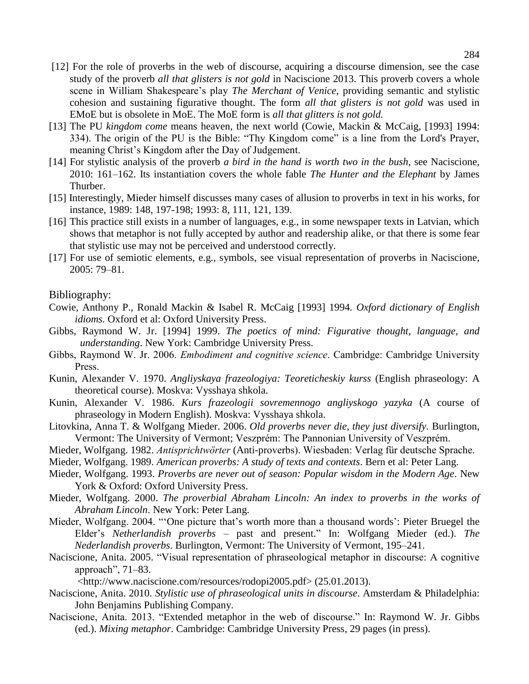- [12] For the role of proverbs in the web of discourse, acquiring a discourse dimension, see the case study of the proverb *all that glisters is not gold* in Naciscione 2013. This proverb covers a whole scene in William Shakespeare's play *The Merchant of Venice*, providing semantic and stylistic cohesion and sustaining figurative thought. The form *all that glisters is not gold* was used in EMoE but is obsolete in MoE. The MoE form is *all that glitters is not gold.*
- [13] The PU *kingdom come* means heaven, the next world (Cowie, Mackin & McCaig, [1993] 1994: 334). The origin of the PU is the Bible: "Thy Kingdom come" is a line from the Lord's Prayer, meaning Christ"s Kingdom after the Day of Judgement.
- [14] For stylistic analysis of the proverb *a bird in the hand is worth two in the bush*, see Naciscione, 2010: 161–162. Its instantiation covers the whole fable *The Hunter and the Elephant* by James Thurber.
- [15] Interestingly, Mieder himself discusses many cases of allusion to proverbs in text in his works, for instance, 1989: 148, 197-198; 1993: 8, 111, 121, 139.
- [16] This practice still exists in a number of languages, e.g., in some newspaper texts in Latvian, which shows that metaphor is not fully accepted by author and readership alike, or that there is some fear that stylistic use may not be perceived and understood correctly.
- [17] For use of semiotic elements, e.g., symbols, see visual representation of proverbs in Naciscione, 2005: 79–81.

#### Bibliography:

- Cowie, Anthony P., Ronald Mackin & Isabel R. McCaig [1993] 1994*. Oxford dictionary of English idioms.* Oxford et al: Oxford University Press.
- Gibbs, Raymond W. Jr. [1994] 1999. *The poetics of mind: Figurative thought, language, and understanding*. New York: Cambridge University Press.
- Gibbs, Raymond W. Jr. 2006. *Embodiment and cognitive science*. Cambridge: Cambridge University Press.
- Kunin, Alexander V. 1970. *Angliyskaya frazeologiya: Teoreticheskiy kurss* (English phraseology: A theoretical course). Moskva: Vysshaya shkola.
- Kunin, Alexander V. 1986. *Kurs frazeologii sovremennogo angliyskogo yazyka* (A course of phraseology in Modern English). Moskva: Vysshaya shkola.
- Litovkina, Anna T. & Wolfgang Mieder. 2006. *Old proverbs never die, they just diversify.* Burlington, Vermont: The University of Vermont; Veszprém: The Pannonian University of Veszprém.
- Mieder, Wolfgang. 1982. *Antisprichtwörter* (Anti-proverbs). Wiesbaden: Verlag für deutsche Sprache.
- Mieder, Wolfgang. 1989. *American proverbs: A study of texts and contexts*. Bern et al: Peter Lang.
- Mieder, Wolfgang. 1993. *Proverbs are never out of season: Popular wisdom in the Modern Age*. New York & Oxford: Oxford University Press.
- Mieder, Wolfgang. 2000. *The proverbial Abraham Lincoln: An index to proverbs in the works of Abraham Lincoln*. New York: Peter Lang.
- Mieder, Wolfgang. 2004. "'One picture that's worth more than a thousand words': Pieter Bruegel the Elder"s *Netherlandish proverbs* – past and present." In: Wolfgang Mieder (ed.). *The Nederlandish proverbs*. Burlington, Vermont: The University of Vermont, 195–241.
- Naciscione, Anita. 2005. "Visual representation of phraseological metaphor in discourse: A cognitive approach", 71–83.

[<http://www.naciscione.com/resources/rodopi2005.pdf>](http://www.naciscione.com/resources/rodopi2005.pdf) (25.01.2013).

- Naciscione, Anita. 2010. *Stylistic use of phraseological units in discourse*. Amsterdam & Philadelphia: John Benjamins Publishing Company.
- Naciscione, Anita. 2013. "Extended metaphor in the web of discourse." In: Raymond W. Jr. Gibbs (ed.). *Mixing metaphor*. Cambridge: Cambridge University Press, 29 pages (in press).